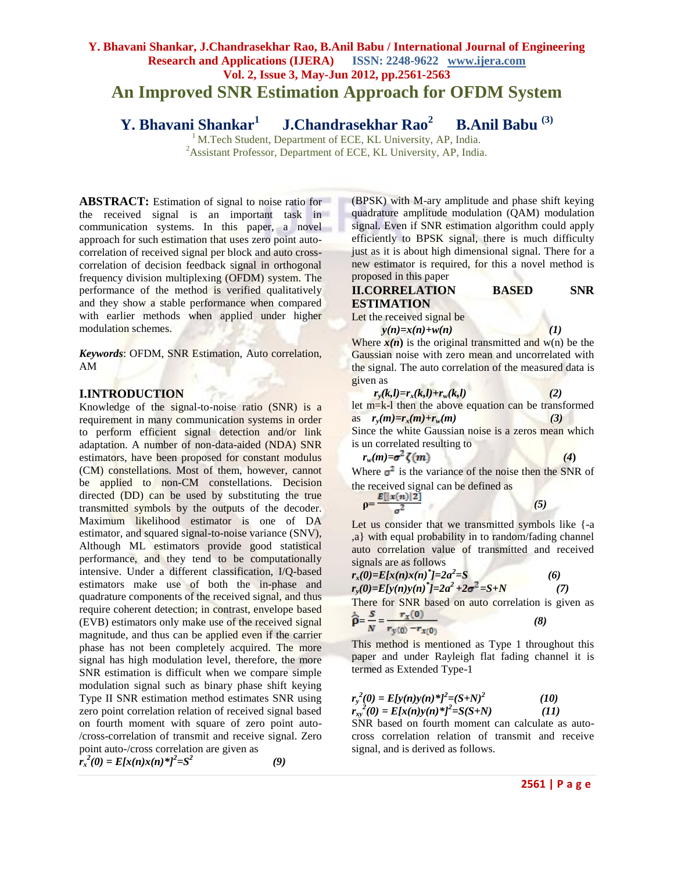# **Y. Bhavani Shankar, J.Chandrasekhar Rao, B.Anil Babu / International Journal of Engineering Research and Applications (IJERA) ISSN: 2248-9622 www.ijera.com Vol. 2, Issue 3, May-Jun 2012, pp.2561-2563 An Improved SNR Estimation Approach for OFDM System**

**Y. Bhavani Shankar 1 J.Chandrasekhar Rao<sup>2</sup> B.Anil Babu (3)**

<sup>1</sup> M.Tech Student, Department of ECE, KL University, AP, India. <sup>2</sup>Assistant Professor, Department of ECE, KL University, AP, India.

**ABSTRACT:** Estimation of signal to noise ratio for the received signal is an important task in communication systems. In this paper, a novel s approach for such estimation that uses zero point autocorrelation of received signal per block and auto crosscorrelation of decision feedback signal in orthogonal frequency division multiplexing (OFDM) system. The performance of the method is verified qualitatively and they show a stable performance when compared with earlier methods when applied under higher modulation schemes.

*Keywords*: OFDM, SNR Estimation, Auto correlation, AM

## **I.INTRODUCTION**

Knowledge of the signal-to-noise ratio (SNR) is a requirement in many communication systems in order to perform efficient signal detection and/or link adaptation. A number of non-data-aided (NDA) SNR estimators, have been proposed for constant modulus (CM) constellations. Most of them, however, cannot be applied to non-CM constellations. Decision directed (DD) can be used by substituting the true transmitted symbols by the outputs of the decoder. Maximum likelihood estimator is one of DA estimator, and squared signal-to-noise variance (SNV), Although ML estimators provide good statistical performance, and they tend to be computationally intensive. Under a different classification, I/Q-based estimators make use of both the in-phase and quadrature components of the received signal, and thus require coherent detection; in contrast, envelope based (EVB) estimators only make use of the received signal magnitude, and thus can be applied even if the carrier phase has not been completely acquired. The more signal has high modulation level, therefore, the more SNR estimation is difficult when we compare simple modulation signal such as binary phase shift keying Type II SNR estimation method estimates SNR using zero point correlation relation of received signal based on fourth moment with square of zero point auto- /cross-correlation of transmit and receive signal. Zero point auto-/cross correlation are given as

 $r_x^2(0) = E[x(n)x(n)^*]^2 = S^2$  *(9)*

(BPSK) with M-ary amplitude and phase shift keying quadrature amplitude modulation (QAM) modulation signal. Even if SNR estimation algorithm could apply efficiently to BPSK signal, there is much difficulty just as it is about high dimensional signal. There for a new estimator is required, for this a novel method is proposed in this paper

## **II.CORRELATION BASED SNR ESTIMATION**

Let the received signal be

 $y(n)=x(n)+w(n)$  (1)

Where  $x(n)$  is the original transmitted and w(n) be the Gaussian noise with zero mean and uncorrelated with the signal. The auto correlation of the measured data is given as  $n \in \mathbb{N}$  ,  $\mathbb{R}^n$ 

$$
r_y(k,l) = r_x(k,l) + r_w(k,l)
$$
\nlet m=k-l then the above equation can be transformed as

\n
$$
r_y(m) = r_x(m) + r_w(m)
$$
\n(3)

\nSince the white Gaussian noise is a zeros mean which is un correlated resulting to

$$
r_w(m) = \sigma^2 \zeta(m) \tag{4}
$$

Where  $\sigma^2$  is the variance of the noise then the SNR of the received signal can be defined as

$$
\rho = \frac{E[|x(n)|2]}{\sigma^2} \tag{5}
$$

Let us consider that we transmitted symbols like {-a ,a} with equal probability in to random/fading channel auto correlation value of transmitted and received signals are as follows

$$
r_x(0)=E[x(n)x(n)^*]=2a^2=S
$$
  
\n
$$
r_y(0)=E[y(n)y(n)^*]=2a^2+2\sigma^2=S+N
$$
\n(7)

There for SNR based on auto correlation is given as  $S = r<sub>v</sub>(0)$ 

$$
\widehat{\mathbf{p}} = \frac{\widehat{\mathbf{p}}}{N} = \frac{\widehat{\mathbf{r}}_X(\mathbf{0})}{r_y(\mathbf{0}) - r_{x(\mathbf{0})}} \tag{8}
$$

This method is mentioned as Type 1 throughout this paper and under Rayleigh flat fading channel it is termed as Extended Type-1

$$
r_{y}^{2}(0) = E[y(n)y(n)*j^{2}=(S+N)^{2}
$$
\n(10)  
\n
$$
r_{xy}^{2}(0) = E[x(n)y(n)*j^{2}=(S+N)
$$
\n(11)

SNR based on fourth moment can calculate as autocross correlation relation of transmit and receive signal, and is derived as follows.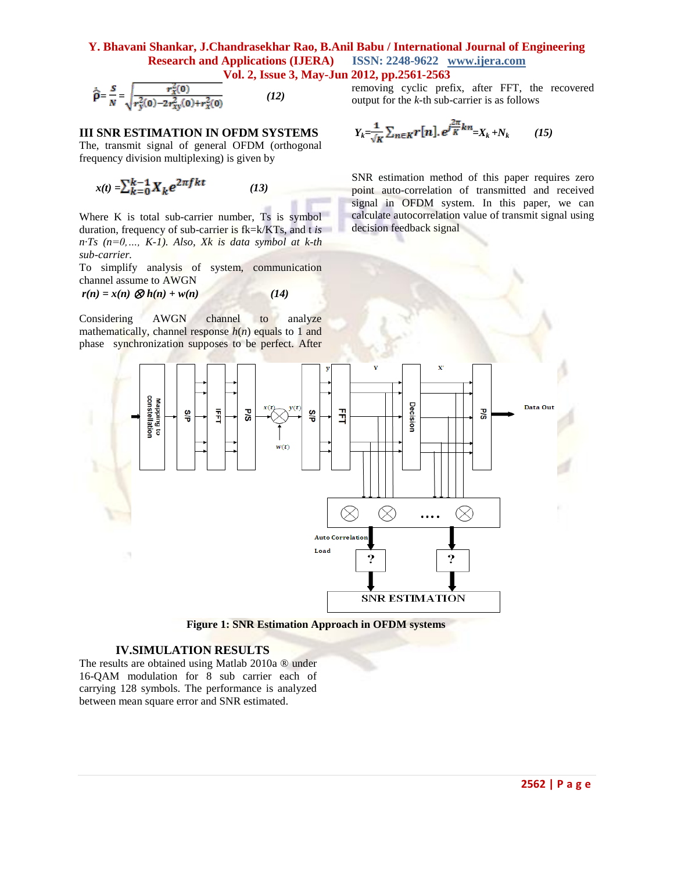#### **Y. Bhavani Shankar, J.Chandrasekhar Rao, B.Anil Babu / International Journal of Engineering Research and Applications (IJERA) ISSN: 2248-9622 www.ijera.com Vol. 2, Issue 3, May-Jun 2012, pp.2561-2563**

$$
\hat{\rho} = \frac{s}{N} = \sqrt{\frac{r_x^2(0)}{r_y^2(0) - 2r_{xy}^2(0) + r_x^2(0)}}\tag{12}
$$

#### **III SNR ESTIMATION IN OFDM SYSTEMS**

The, transmit signal of general OFDM (orthogonal frequency division multiplexing) is given by

$$
x(t) = \sum_{k=0}^{k-1} X_k e^{2\pi fkt}
$$
 (13)

Where K is total sub-carrier number, Ts is symbol duration, frequency of sub-carrier is fk=k/KTs, and t *is n·Ts (n=0,…, K-1). Also, Xk is data symbol at k-th sub-carrier.*

To simplify analysis of system, communication channel assume to AWGN

 $r(n) = x(n) \otimes h(n) + w(n)$  (14)

mathematically, channel response  $h(n)$  equals to 1 and phase synchronization supposes to be perfect. After removing cyclic prefix, after FFT, the recovered output for the *k-*th sub-carrier is as follows

$$
Y_k = \frac{1}{\sqrt{K}} \sum_{n \in K} r[n], e^{j\frac{2\pi}{K}kn} = X_k + N_k \qquad (15)
$$

SNR estimation method of this paper requires zero point auto-correlation of transmitted and received signal in OFDM system. In this paper, we can calculate autocorrelation value of transmit signal using decision feedback signal



 **Figure 1: SNR Estimation Approach in OFDM systems**

#### **IV.SIMULATION RESULTS**

The results are obtained using Matlab 2010a ® under 16-QAM modulation for 8 sub carrier each of carrying 128 symbols. The performance is analyzed between mean square error and SNR estimated.